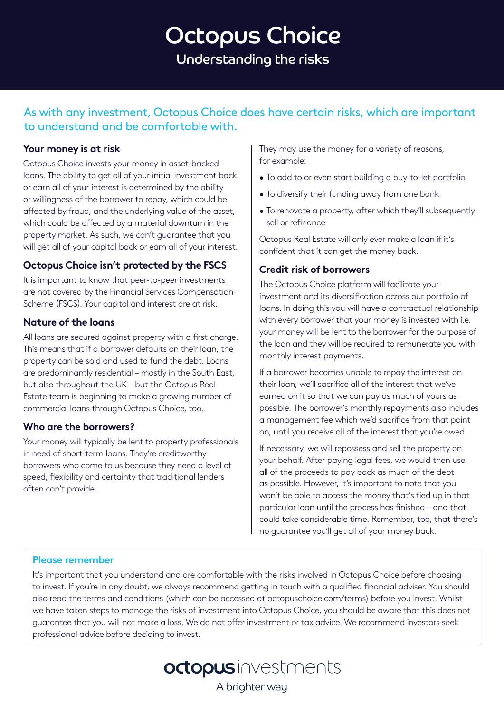# Octopus Choice Understanding the risks

As with any investment, Octopus Choice does have certain risks, which are important to understand and be comfortable with.

## **Your money is at risk**

Octopus Choice invests your money in asset-backed loans. The ability to get all of your initial investment back or earn all of your interest is determined by the ability or willingness of the borrower to repay, which could be affected by fraud, and the underlying value of the asset, which could be affected by a material downturn in the property market. As such, we can't guarantee that you will get all of your capital back or earn all of your interest.

## **Octopus Choice isn't protected by the FSCS**

It is important to know that peer-to-peer investments are not covered by the Financial Services Compensation Scheme (FSCS). Your capital and interest are at risk.

## **Nature of the loans**

All loans are secured against property with a first charge. This means that if a borrower defaults on their loan, the property can be sold and used to fund the debt. Loans are predominantly residential – mostly in the South East, but also throughout the UK – but the Octopus Real Estate team is beginning to make a growing number of commercial loans through Octopus Choice, too.

## **Who are the borrowers?**

Your money will typically be lent to property professionals in need of short-term loans. They're creditworthy borrowers who come to us because they need a level of speed, flexibility and certainty that traditional lenders often can't provide.

They may use the money for a variety of reasons, for example:

- To add to or even start building a buy-to-let portfolio
- To diversify their funding away from one bank
- To renovate a property, after which they'll subsequently sell or refinance

Octopus Real Estate will only ever make a loan if it's confident that it can get the money back.

## **Credit risk of borrowers**

The Octopus Choice platform will facilitate your investment and its diversification across our portfolio of loans. In doing this you will have a contractual relationship with every borrower that your money is invested with i.e. your money will be lent to the borrower for the purpose of the loan and they will be required to remunerate you with monthly interest payments.

If a borrower becomes unable to repay the interest on their loan, we'll sacrifice all of the interest that we've earned on it so that we can pay as much of yours as possible. The borrower's monthly repayments also includes a management fee which we'd sacrifice from that point on, until you receive all of the interest that you're owed.

If necessary, we will repossess and sell the property on your behalf. After paying legal fees, we would then use all of the proceeds to pay back as much of the debt as possible. However, it's important to note that you won't be able to access the money that's tied up in that particular loan until the process has finished – and that could take considerable time. Remember, too, that there's no guarantee you'll get all of your money back.

## **Please remember**

It's important that you understand and are comfortable with the risks involved in Octopus Choice before choosing to invest. If you're in any doubt, we always recommend getting in touch with a qualified financial adviser. You should also read the terms and conditions (which can be accessed at octopuschoice.com/terms) before you invest. Whilst we have taken steps to manage the risks of investment into Octopus Choice, you should be aware that this does not guarantee that you will not make a loss. We do not offer investment or tax advice. We recommend investors seek professional advice before deciding to invest.

octopusinvestments

A brighter way